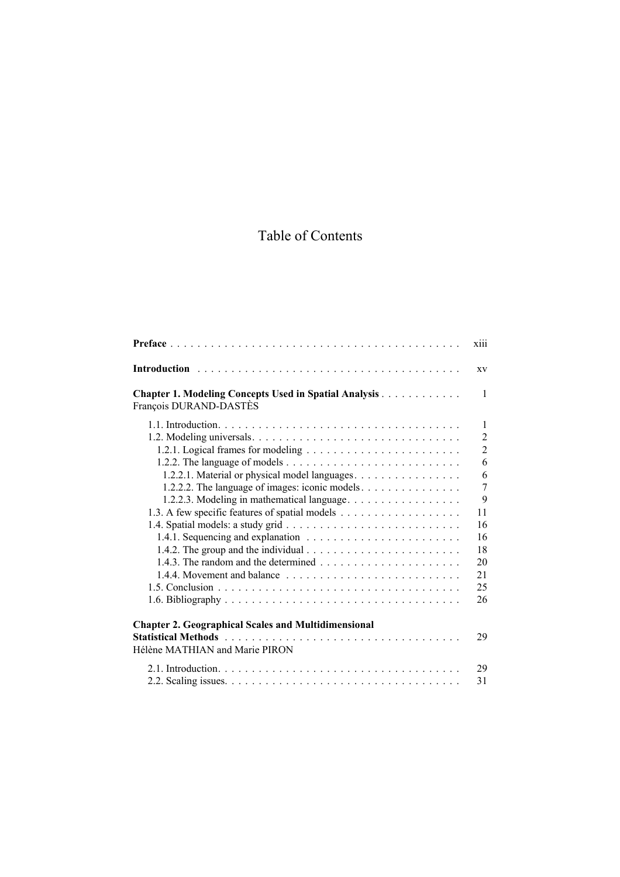## Table of Contents

|                                                                                                                                                                                                                                    | xiii           |
|------------------------------------------------------------------------------------------------------------------------------------------------------------------------------------------------------------------------------------|----------------|
|                                                                                                                                                                                                                                    | XV             |
| <b>Chapter 1. Modeling Concepts Used in Spatial Analysis</b><br>François DURAND-DASTÈS                                                                                                                                             | $\mathbf{1}$   |
|                                                                                                                                                                                                                                    | $\mathbf{1}$   |
|                                                                                                                                                                                                                                    | $\overline{2}$ |
|                                                                                                                                                                                                                                    | $\overline{2}$ |
|                                                                                                                                                                                                                                    | 6              |
| 1.2.2.1. Material or physical model languages.                                                                                                                                                                                     | 6              |
| 1.2.2.2. The language of images: iconic models                                                                                                                                                                                     | $\overline{7}$ |
| 1.2.2.3. Modeling in mathematical language.                                                                                                                                                                                        | 9              |
|                                                                                                                                                                                                                                    | 11             |
|                                                                                                                                                                                                                                    | 16             |
|                                                                                                                                                                                                                                    | 16             |
| 1.4.2. The group and the individual $\ldots \ldots \ldots \ldots \ldots \ldots \ldots \ldots$                                                                                                                                      | 18             |
|                                                                                                                                                                                                                                    | 20             |
|                                                                                                                                                                                                                                    | 21             |
|                                                                                                                                                                                                                                    | 25             |
|                                                                                                                                                                                                                                    | 26             |
| <b>Chapter 2. Geographical Scales and Multidimensional</b>                                                                                                                                                                         |                |
| <b>Statistical Methods</b> experience in the contract of the statistic state of the state of the state of the state of the state of the state of the state of the state of the state of the state of the state of the state of the | 29             |
| Hélène MATHIAN and Marie PIRON                                                                                                                                                                                                     |                |
|                                                                                                                                                                                                                                    | 29             |
|                                                                                                                                                                                                                                    | 31             |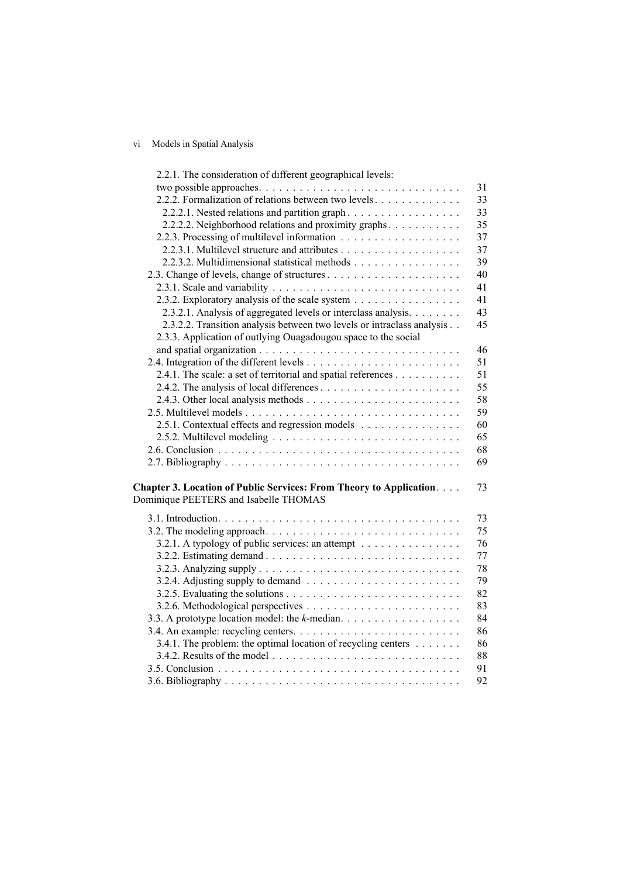## vi Models in Spatial Analysis

| 2.2.1. The consideration of different geographical levels:                           |    |
|--------------------------------------------------------------------------------------|----|
|                                                                                      | 31 |
| 2.2.2. Formalization of relations between two levels                                 | 33 |
| 2.2.2.1. Nested relations and partition graph                                        | 33 |
| 2.2.2.2. Neighborhood relations and proximity graphs.                                | 35 |
|                                                                                      | 37 |
|                                                                                      | 37 |
| 2.2.3.2. Multidimensional statistical methods                                        | 39 |
|                                                                                      | 40 |
|                                                                                      | 41 |
| 2.3.2. Exploratory analysis of the scale system                                      | 41 |
| 2.3.2.1. Analysis of aggregated levels or interclass analysis.                       | 43 |
| 2.3.2.2. Transition analysis between two levels or intraclass analysis               | 45 |
| 2.3.3. Application of outlying Ouagadougou space to the social                       |    |
|                                                                                      | 46 |
|                                                                                      | 51 |
| 2.4.1. The scale: a set of territorial and spatial references                        | 51 |
|                                                                                      | 55 |
|                                                                                      | 58 |
|                                                                                      | 59 |
| 2.5.1. Contextual effects and regression models                                      | 60 |
|                                                                                      | 65 |
|                                                                                      | 68 |
|                                                                                      | 69 |
|                                                                                      |    |
| Chapter 3. Location of Public Services: From Theory to Application.                  | 73 |
| Dominique PEETERS and Isabelle THOMAS                                                |    |
|                                                                                      | 73 |
|                                                                                      | 75 |
| 3.2.1. A typology of public services: an attempt                                     | 76 |
|                                                                                      | 77 |
|                                                                                      | 78 |
| 3.2.4. Adjusting supply to demand $\ldots \ldots \ldots \ldots \ldots \ldots \ldots$ | 79 |
|                                                                                      | 82 |
|                                                                                      | 83 |
| 3.3. A prototype location model: the k-median.                                       | 84 |
|                                                                                      | 86 |
| 3.4.1. The problem: the optimal location of recycling centers $\dots \dots$          | 86 |
|                                                                                      | 88 |
|                                                                                      | 91 |
|                                                                                      | 92 |
|                                                                                      |    |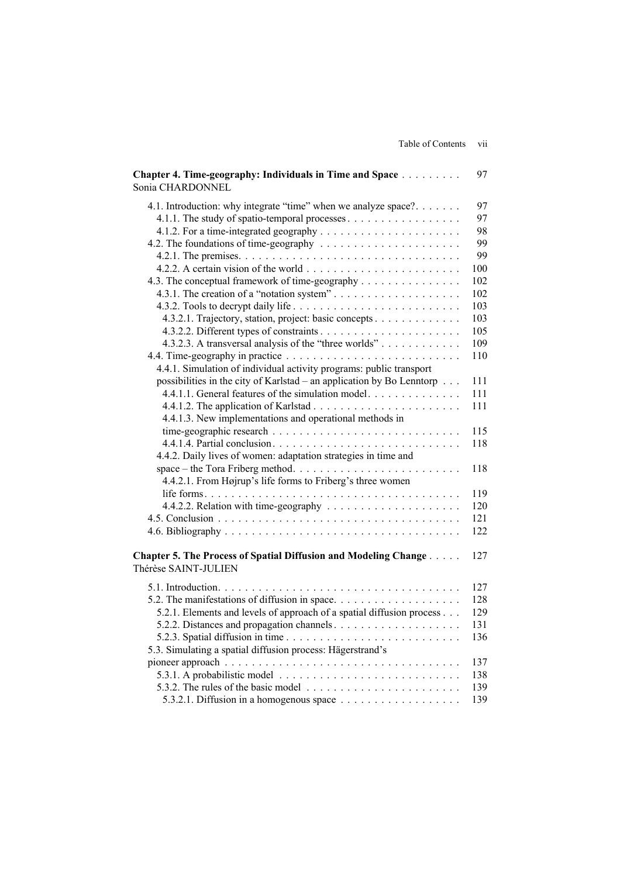| Chapter 4. Time-geography: Individuals in Time and Space<br>Sonia CHARDONNEL            | 97  |
|-----------------------------------------------------------------------------------------|-----|
| 4.1. Introduction: why integrate "time" when we analyze space?                          | 97  |
|                                                                                         | 97  |
|                                                                                         | 98  |
|                                                                                         | 99  |
|                                                                                         | 99  |
|                                                                                         | 100 |
| 4.3. The conceptual framework of time-geography                                         | 102 |
| 4.3.1. The creation of a "notation system"                                              | 102 |
|                                                                                         | 103 |
| 4.3.2.1. Trajectory, station, project: basic concepts                                   | 103 |
|                                                                                         | 105 |
| 4.3.2.3. A transversal analysis of the "three worlds"                                   | 109 |
|                                                                                         | 110 |
| 4.4.1. Simulation of individual activity programs: public transport                     |     |
| possibilities in the city of Karlstad – an application by Bo Lenntorp                   | 111 |
| 4.4.1.1. General features of the simulation model.                                      | 111 |
|                                                                                         | 111 |
| 4.4.1.3. New implementations and operational methods in                                 |     |
|                                                                                         | 115 |
|                                                                                         | 118 |
| 4.4.2. Daily lives of women: adaptation strategies in time and                          |     |
|                                                                                         | 118 |
| 4.4.2.1. From Højrup's life forms to Friberg's three women                              |     |
|                                                                                         | 119 |
|                                                                                         | 120 |
|                                                                                         | 121 |
|                                                                                         | 122 |
| Chapter 5. The Process of Spatial Diffusion and Modeling Change<br>Thérèse SAINT-JULIEN | 127 |
|                                                                                         | 127 |
| 5.2. The manifestations of diffusion in space                                           | 128 |
| 5.2.1. Elements and levels of approach of a spatial diffusion process                   | 129 |
|                                                                                         | 131 |
|                                                                                         | 136 |
| 5.3. Simulating a spatial diffusion process: Hägerstrand's                              |     |
|                                                                                         | 137 |
|                                                                                         | 138 |
| 5.3.2. The rules of the basic model $\ldots \ldots \ldots \ldots \ldots \ldots \ldots$  | 139 |
| 5.3.2.1. Diffusion in a homogenous space $\ldots \ldots \ldots \ldots \ldots \ldots$    | 139 |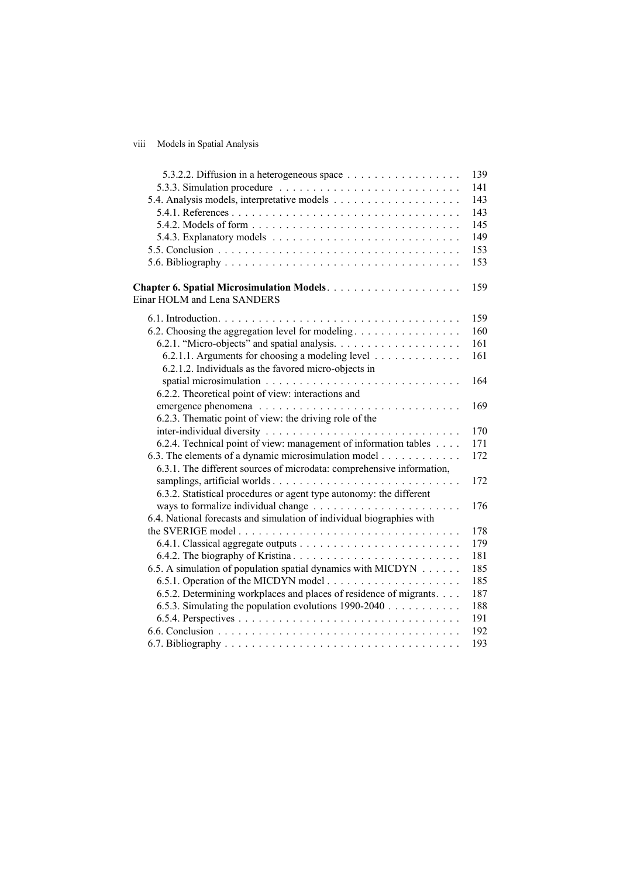## viii Models in Spatial Analysis

|                                                                       | 139 |
|-----------------------------------------------------------------------|-----|
| 5.3.3. Simulation procedure                                           | 141 |
|                                                                       | 143 |
|                                                                       | 143 |
|                                                                       | 145 |
|                                                                       | 149 |
|                                                                       | 153 |
|                                                                       | 153 |
| Einar HOLM and Lena SANDERS                                           | 159 |
|                                                                       | 159 |
| 6.2. Choosing the aggregation level for modeling                      | 160 |
|                                                                       | 161 |
| 6.2.1.1. Arguments for choosing a modeling level                      | 161 |
| 6.2.1.2. Individuals as the favored micro-objects in                  |     |
|                                                                       | 164 |
| 6.2.2. Theoretical point of view: interactions and                    |     |
|                                                                       | 169 |
| 6.2.3. Thematic point of view: the driving role of the                |     |
|                                                                       | 170 |
| 6.2.4. Technical point of view: management of information tables      | 171 |
| 6.3. The elements of a dynamic microsimulation model                  | 172 |
| 6.3.1. The different sources of microdata: comprehensive information, |     |
|                                                                       | 172 |
| 6.3.2. Statistical procedures or agent type autonomy: the different   |     |
|                                                                       | 176 |
| 6.4. National forecasts and simulation of individual biographies with |     |
|                                                                       | 178 |
|                                                                       | 179 |
|                                                                       | 181 |
| 6.5. A simulation of population spatial dynamics with MICDYN          | 185 |
|                                                                       | 185 |
| 6.5.2. Determining workplaces and places of residence of migrants.    | 187 |
| 6.5.3. Simulating the population evolutions $1990-2040$               | 188 |
|                                                                       | 191 |
|                                                                       | 192 |
|                                                                       | 193 |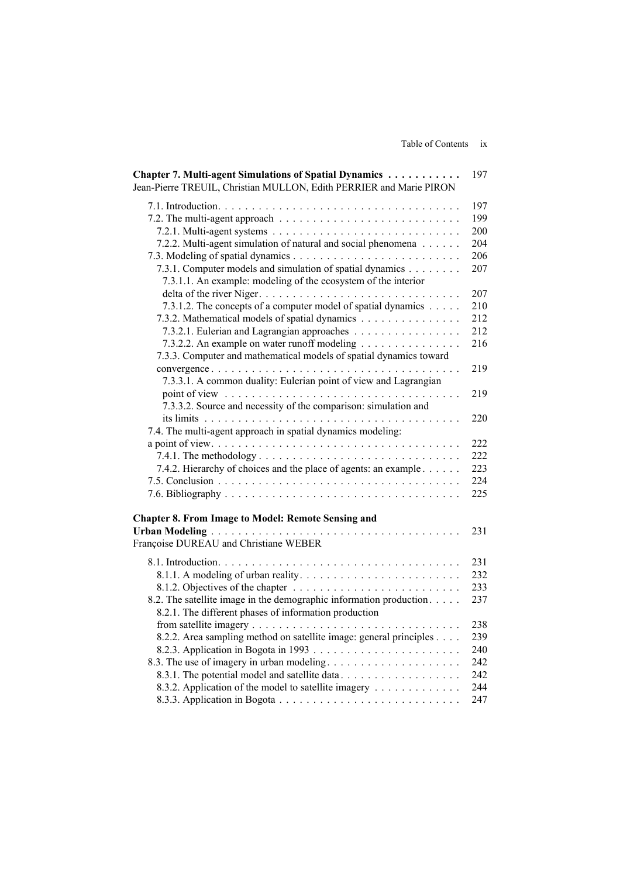|  | Table of Contents | 1X |
|--|-------------------|----|
|  |                   |    |
|  |                   |    |

| Chapter 7. Multi-agent Simulations of Spatial Dynamics<br>Jean-Pierre TREUIL, Christian MULLON, Edith PERRIER and Marie PIRON | 197 |
|-------------------------------------------------------------------------------------------------------------------------------|-----|
|                                                                                                                               | 197 |
|                                                                                                                               | 199 |
|                                                                                                                               | 200 |
| 7.2.2. Multi-agent simulation of natural and social phenomena                                                                 | 204 |
|                                                                                                                               | 206 |
| 7.3.1. Computer models and simulation of spatial dynamics<br>7.3.1.1. An example: modeling of the ecosystem of the interior   | 207 |
|                                                                                                                               | 207 |
| 7.3.1.2. The concepts of a computer model of spatial dynamics                                                                 | 210 |
| 7.3.2. Mathematical models of spatial dynamics                                                                                | 212 |
| 7.3.2.1. Eulerian and Lagrangian approaches                                                                                   | 212 |
| 7.3.2.2. An example on water runoff modeling<br>7.3.3. Computer and mathematical models of spatial dynamics toward            | 216 |
|                                                                                                                               | 219 |
| 7.3.3.1. A common duality: Eulerian point of view and Lagrangian                                                              | 219 |
| 7.3.3.2. Source and necessity of the comparison: simulation and                                                               |     |
| 7.4. The multi-agent approach in spatial dynamics modeling:                                                                   | 220 |
|                                                                                                                               | 222 |
|                                                                                                                               | 222 |
| 7.4.2. Hierarchy of choices and the place of agents: an example                                                               | 223 |
|                                                                                                                               | 224 |
|                                                                                                                               | 225 |
| <b>Chapter 8. From Image to Model: Remote Sensing and</b>                                                                     |     |
| Françoise DUREAU and Christiane WEBER                                                                                         | 231 |
|                                                                                                                               | 231 |
|                                                                                                                               | 232 |
|                                                                                                                               | 233 |
| 8.2. The satellite image in the demographic information production.<br>8.2.1. The different phases of information production  | 237 |
|                                                                                                                               | 238 |
| 8.2.2. Area sampling method on satellite image: general principles                                                            | 239 |
|                                                                                                                               | 240 |
| 8.3. The use of imagery in urban modeling                                                                                     | 242 |
| 8.3.1. The potential model and satellite data                                                                                 | 242 |
| 8.3.2. Application of the model to satellite imagery                                                                          | 244 |
|                                                                                                                               | 247 |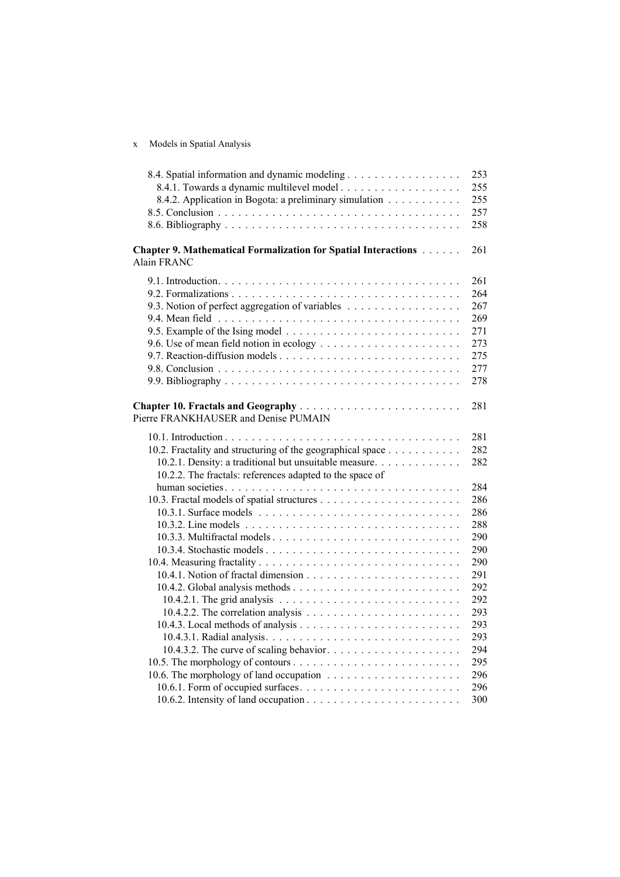x Models in Spatial Analysis

| 8.4. Spatial information and dynamic modeling                                               | 253 |
|---------------------------------------------------------------------------------------------|-----|
|                                                                                             | 255 |
| 8.4.2. Application in Bogota: a preliminary simulation                                      | 255 |
|                                                                                             | 257 |
|                                                                                             | 258 |
| <b>Chapter 9. Mathematical Formalization for Spatial Interactions</b><br><b>Alain FRANC</b> | 261 |
|                                                                                             | 261 |
|                                                                                             | 264 |
| 9.3. Notion of perfect aggregation of variables                                             | 267 |
|                                                                                             | 269 |
|                                                                                             | 271 |
|                                                                                             | 273 |
|                                                                                             | 275 |
|                                                                                             | 277 |
|                                                                                             | 278 |
| Pierre FRANKHAUSER and Denise PUMAIN                                                        | 281 |
|                                                                                             | 281 |
| 10.2. Fractality and structuring of the geographical space                                  | 282 |
| 10.2.1. Density: a traditional but unsuitable measure.                                      | 282 |
| 10.2.2. The fractals: references adapted to the space of                                    |     |
|                                                                                             | 284 |
|                                                                                             | 286 |
|                                                                                             | 286 |
|                                                                                             | 288 |
|                                                                                             | 290 |
|                                                                                             | 290 |
|                                                                                             | 290 |
|                                                                                             | 291 |
|                                                                                             | 292 |
|                                                                                             | 292 |
|                                                                                             | 293 |
|                                                                                             | 293 |
|                                                                                             | 293 |
|                                                                                             | 294 |
|                                                                                             | 295 |
|                                                                                             | 296 |
|                                                                                             | 296 |
|                                                                                             | 300 |